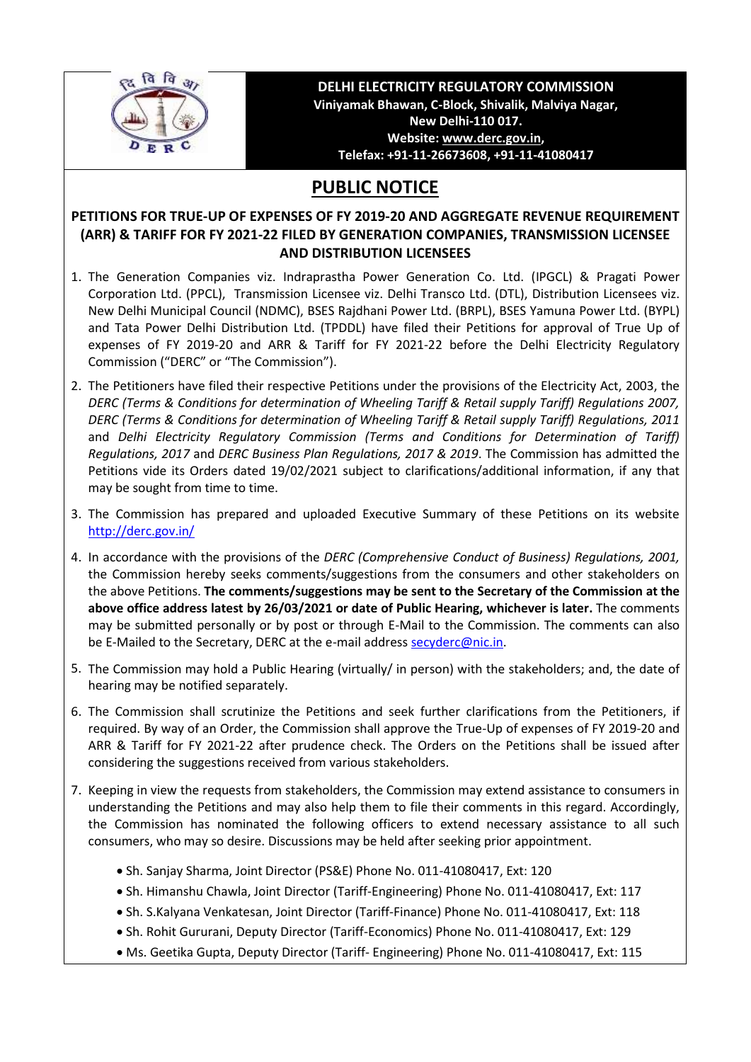

## **DELHI ELECTRICITY REGULATORY COMMISSION Viniyamak Bhawan, C-Block, Shivalik, Malviya Nagar, New Delhi-110 017. Website[: www.derc.gov.in,](http://www.derc.gov.in/) Telefax: +91-11-26673608, +91-11-41080417**

## **PUBLIC NOTICE**

## **PETITIONS FOR TRUE-UP OF EXPENSES OF FY 2019-20 AND AGGREGATE REVENUE REQUIREMENT (ARR) & TARIFF FOR FY 2021-22 FILED BY GENERATION COMPANIES, TRANSMISSION LICENSEE AND DISTRIBUTION LICENSEES**

- 1. The Generation Companies viz. Indraprastha Power Generation Co. Ltd. (IPGCL) & Pragati Power Corporation Ltd. (PPCL), Transmission Licensee viz. Delhi Transco Ltd. (DTL), Distribution Licensees viz. New Delhi Municipal Council (NDMC), BSES Rajdhani Power Ltd. (BRPL), BSES Yamuna Power Ltd. (BYPL) and Tata Power Delhi Distribution Ltd. (TPDDL) have filed their Petitions for approval of True Up of expenses of FY 2019-20 and ARR & Tariff for FY 2021-22 before the Delhi Electricity Regulatory Commission ("DERC" or "The Commission").
- 2. The Petitioners have filed their respective Petitions under the provisions of the Electricity Act, 2003, the *DERC (Terms & Conditions for determination of Wheeling Tariff & Retail supply Tariff) Regulations 2007, DERC (Terms & Conditions for determination of Wheeling Tariff & Retail supply Tariff) Regulations, 2011* and *Delhi Electricity Regulatory Commission (Terms and Conditions for Determination of Tariff) Regulations, 2017* and *DERC Business Plan Regulations, 2017 & 2019*. The Commission has admitted the Petitions vide its Orders dated 19/02/2021 subject to clarifications/additional information, if any that may be sought from time to time.
- 3. The Commission has prepared and uploaded Executive Summary of these Petitions on its website <http://derc.gov.in/>
- 4. In accordance with the provisions of the *DERC (Comprehensive Conduct of Business) Regulations, 2001,* the Commission hereby seeks comments/suggestions from the consumers and other stakeholders on the above Petitions. **The comments/suggestions may be sent to the Secretary of the Commission at the above office address latest by 26/03/2021 or date of Public Hearing, whichever is later.** The comments may be submitted personally or by post or through E-Mail to the Commission. The comments can also be E-Mailed to the Secretary, DERC at the e-mail address [secyderc@nic.in.](mailto:secyderc@nic.in)
- 5. The Commission may hold a Public Hearing (virtually/ in person) with the stakeholders; and, the date of hearing may be notified separately.
- 6. The Commission shall scrutinize the Petitions and seek further clarifications from the Petitioners, if required. By way of an Order, the Commission shall approve the True-Up of expenses of FY 2019-20 and ARR & Tariff for FY 2021-22 after prudence check. The Orders on the Petitions shall be issued after considering the suggestions received from various stakeholders.
- 7. Keeping in view the requests from stakeholders, the Commission may extend assistance to consumers in understanding the Petitions and may also help them to file their comments in this regard. Accordingly, the Commission has nominated the following officers to extend necessary assistance to all such consumers, who may so desire. Discussions may be held after seeking prior appointment.
	- Sh. Sanjay Sharma, Joint Director (PS&E) Phone No. 011-41080417, Ext: 120
	- Sh. Himanshu Chawla, Joint Director (Tariff-Engineering) Phone No. 011-41080417, Ext: 117
	- Sh. S.Kalyana Venkatesan, Joint Director (Tariff-Finance) Phone No. 011-41080417, Ext: 118
	- Sh. Rohit Gururani, Deputy Director (Tariff-Economics) Phone No. 011-41080417, Ext: 129
	- Ms. Geetika Gupta, Deputy Director (Tariff- Engineering) Phone No. 011-41080417, Ext: 115